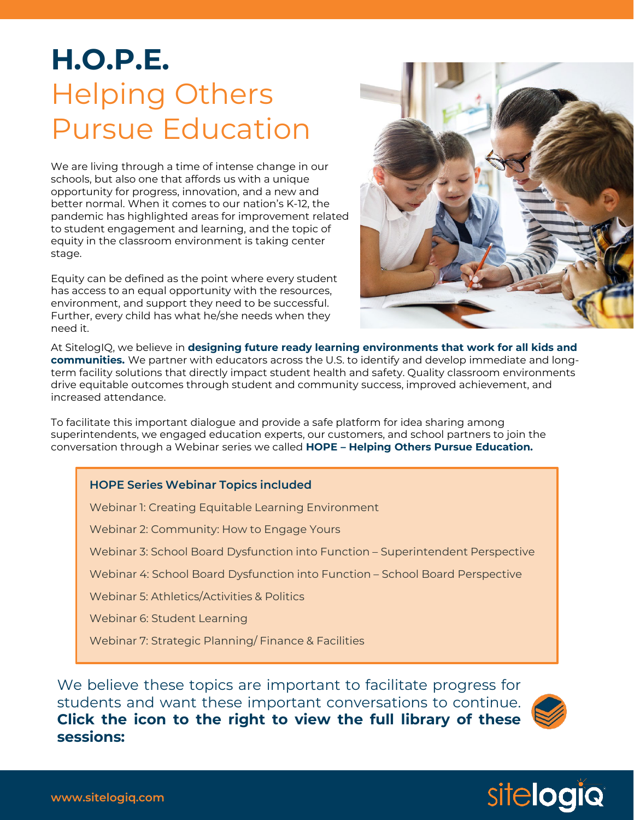## **H.O.P.E.** Helping Others Pursue Education

We are living through a time of intense change in our schools, but also one that affords us with a unique opportunity for progress, innovation, and a new and better normal. When it comes to our nation's K-12, the pandemic has highlighted areas for improvement related to student engagement and learning, and the topic of equity in the classroom environment is taking center stage.

Equity can be defined as the point where every student has access to an equal opportunity with the resources, environment, and support they need to be successful. Further, every child has what he/she needs when they need it.



At SitelogIQ, we believe in **designing future ready learning environments that work for all kids and communities.** We partner with educators across the U.S. to identify and develop immediate and longterm facility solutions that directly impact student health and safety. Quality classroom environments drive equitable outcomes through student and community success, improved achievement, and increased attendance.

To facilitate this important dialogue and provide a safe platform for idea sharing among superintendents, we engaged education experts, our customers, and school partners to join the conversation through a Webinar series we called **HOPE – Helping Others Pursue Education.** 

## **HOPE Series Webinar Topics included**

Webinar 1: Creating Equitable Learning Environment

Webinar 2: Community: How to Engage Yours

Webinar 3: School Board Dysfunction into Function – Superintendent Perspective

Webinar 4: School Board Dysfunction into Function – School Board Perspective

Webinar 5: Athletics/Activities & Politics

Webinar 6: Student Learning

Webinar 7: Strategic Planning/ Finance & Facilities

We believe these topics are important to facilitate progress for students and want these important conversations to continue. **Click the icon to the right to view the full library of these sessions:**